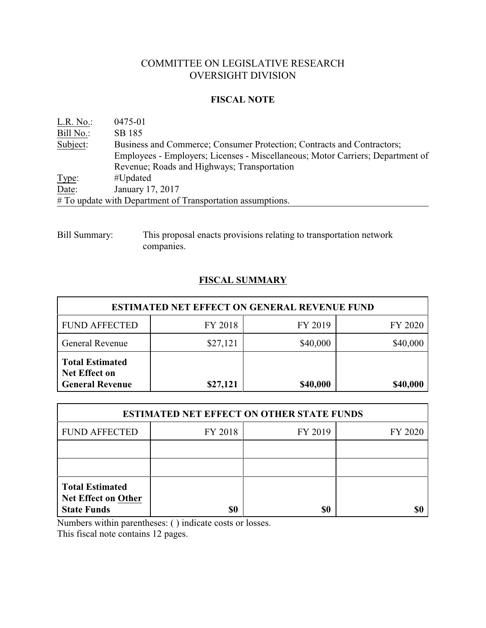# COMMITTEE ON LEGISLATIVE RESEARCH OVERSIGHT DIVISION

#### **FISCAL NOTE**

| $L.R. No.$ : | 0475-01                                                                        |
|--------------|--------------------------------------------------------------------------------|
| Bill No.:    | SB 185                                                                         |
| Subject:     | Business and Commerce; Consumer Protection; Contracts and Contractors;         |
|              | Employees - Employers; Licenses - Miscellaneous; Motor Carriers; Department of |
|              | Revenue; Roads and Highways; Transportation                                    |
| Type:        | #Updated                                                                       |
| Date:        | January 17, 2017                                                               |
|              | # To update with Department of Transportation assumptions.                     |

Bill Summary: This proposal enacts provisions relating to transportation network companies.

## **FISCAL SUMMARY**

| <b>ESTIMATED NET EFFECT ON GENERAL REVENUE FUND</b>                      |          |          |          |  |  |
|--------------------------------------------------------------------------|----------|----------|----------|--|--|
| <b>FUND AFFECTED</b>                                                     | FY 2018  | FY 2019  | FY 2020  |  |  |
| General Revenue                                                          | \$27,121 | \$40,000 | \$40,000 |  |  |
| <b>Total Estimated</b><br><b>Net Effect on</b><br><b>General Revenue</b> | \$27,121 | \$40,000 | \$40,000 |  |  |

| <b>ESTIMATED NET EFFECT ON OTHER STATE FUNDS</b>                           |         |         |         |  |  |
|----------------------------------------------------------------------------|---------|---------|---------|--|--|
| <b>FUND AFFECTED</b>                                                       | FY 2018 | FY 2019 | FY 2020 |  |  |
|                                                                            |         |         |         |  |  |
|                                                                            |         |         |         |  |  |
| <b>Total Estimated</b><br><b>Net Effect on Other</b><br><b>State Funds</b> |         | \$0     |         |  |  |

Numbers within parentheses: ( ) indicate costs or losses.

This fiscal note contains 12 pages.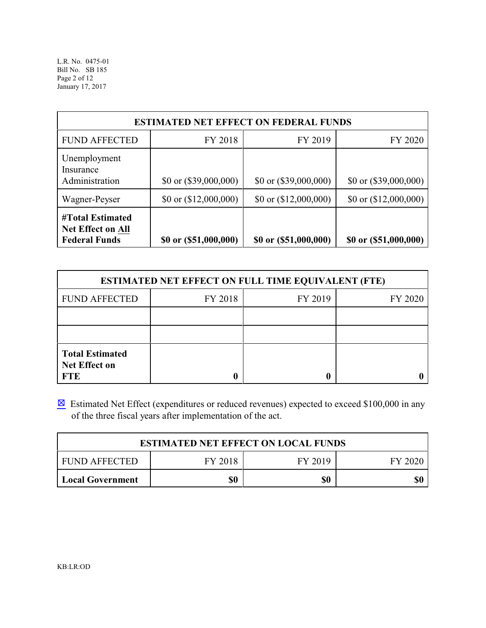| <b>ESTIMATED NET EFFECT ON FEDERAL FUNDS</b>                         |                         |                         |                         |  |  |
|----------------------------------------------------------------------|-------------------------|-------------------------|-------------------------|--|--|
| <b>FUND AFFECTED</b>                                                 | FY 2018                 | FY 2019                 | FY 2020                 |  |  |
| Unemployment<br>Insurance<br>Administration                          | \$0 or $(\$39,000,000)$ | \$0 or $(\$39,000,000)$ | \$0 or $(\$39,000,000)$ |  |  |
| Wagner-Peyser                                                        | \$0 or $(\$12,000,000)$ | \$0 or $(\$12,000,000)$ | \$0 or $(\$12,000,000)$ |  |  |
| #Total Estimated<br><b>Net Effect on All</b><br><b>Federal Funds</b> | \$0 or (\$51,000,000)   | \$0 or (\$51,000,000)   | \$0 or (\$51,000,000)   |  |  |

| <b>ESTIMATED NET EFFECT ON FULL TIME EQUIVALENT (FTE)</b>    |         |         |         |  |  |
|--------------------------------------------------------------|---------|---------|---------|--|--|
| <b>FUND AFFECTED</b>                                         | FY 2018 | FY 2019 | FY 2020 |  |  |
|                                                              |         |         |         |  |  |
|                                                              |         |         |         |  |  |
| <b>Total Estimated</b><br><b>Net Effect on</b><br><b>FTE</b> |         |         |         |  |  |

 $\boxtimes$  Estimated Net Effect (expenditures or reduced revenues) expected to exceed \$100,000 in any of the three fiscal years after implementation of the act.

| <b>ESTIMATED NET EFFECT ON LOCAL FUNDS</b> |         |         |         |  |
|--------------------------------------------|---------|---------|---------|--|
| I FUND AFFECTED                            | FY 2018 | FY 2019 | FY 2020 |  |
| Local Government                           | \$0     | \$0     | \$0     |  |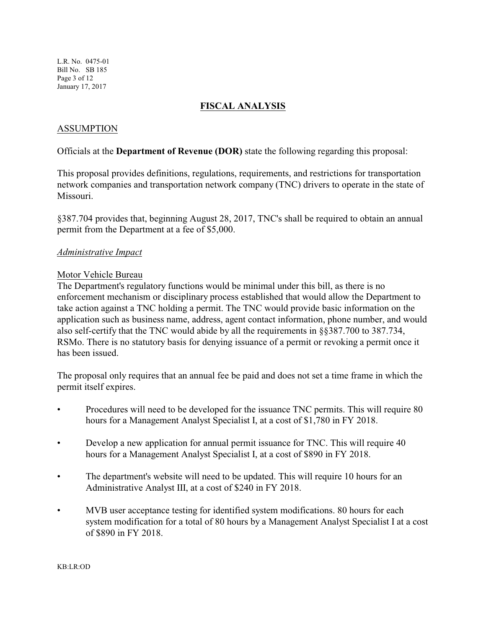L.R. No. 0475-01 Bill No. SB 185 Page 3 of 12 January 17, 2017

#### **FISCAL ANALYSIS**

#### ASSUMPTION

Officials at the **Department of Revenue (DOR)** state the following regarding this proposal:

This proposal provides definitions, regulations, requirements, and restrictions for transportation network companies and transportation network company (TNC) drivers to operate in the state of Missouri.

§387.704 provides that, beginning August 28, 2017, TNC's shall be required to obtain an annual permit from the Department at a fee of \$5,000.

#### *Administrative Impact*

#### Motor Vehicle Bureau

The Department's regulatory functions would be minimal under this bill, as there is no enforcement mechanism or disciplinary process established that would allow the Department to take action against a TNC holding a permit. The TNC would provide basic information on the application such as business name, address, agent contact information, phone number, and would also self-certify that the TNC would abide by all the requirements in §§387.700 to 387.734, RSMo. There is no statutory basis for denying issuance of a permit or revoking a permit once it has been issued.

The proposal only requires that an annual fee be paid and does not set a time frame in which the permit itself expires.

- Procedures will need to be developed for the issuance TNC permits. This will require 80 hours for a Management Analyst Specialist I, at a cost of \$1,780 in FY 2018.
- Develop a new application for annual permit issuance for TNC. This will require 40 hours for a Management Analyst Specialist I, at a cost of \$890 in FY 2018.
- The department's website will need to be updated. This will require 10 hours for an Administrative Analyst III, at a cost of \$240 in FY 2018.
- MVB user acceptance testing for identified system modifications. 80 hours for each system modification for a total of 80 hours by a Management Analyst Specialist I at a cost of \$890 in FY 2018.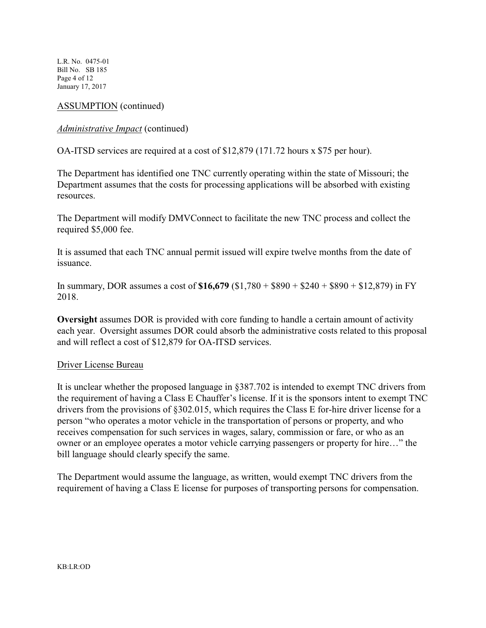L.R. No. 0475-01 Bill No. SB 185 Page 4 of 12 January 17, 2017

### ASSUMPTION (continued)

#### *Administrative Impact* (continued)

OA-ITSD services are required at a cost of \$12,879 (171.72 hours x \$75 per hour).

The Department has identified one TNC currently operating within the state of Missouri; the Department assumes that the costs for processing applications will be absorbed with existing resources.

The Department will modify DMVConnect to facilitate the new TNC process and collect the required \$5,000 fee.

It is assumed that each TNC annual permit issued will expire twelve months from the date of issuance.

In summary, DOR assumes a cost of **\$16,679** (\$1,780 + \$890 + \$240 + \$890 + \$12,879) in FY 2018.

**Oversight** assumes DOR is provided with core funding to handle a certain amount of activity each year. Oversight assumes DOR could absorb the administrative costs related to this proposal and will reflect a cost of \$12,879 for OA-ITSD services.

#### Driver License Bureau

It is unclear whether the proposed language in §387.702 is intended to exempt TNC drivers from the requirement of having a Class E Chauffer's license. If it is the sponsors intent to exempt TNC drivers from the provisions of §302.015, which requires the Class E for-hire driver license for a person "who operates a motor vehicle in the transportation of persons or property, and who receives compensation for such services in wages, salary, commission or fare, or who as an owner or an employee operates a motor vehicle carrying passengers or property for hire…" the bill language should clearly specify the same.

The Department would assume the language, as written, would exempt TNC drivers from the requirement of having a Class E license for purposes of transporting persons for compensation.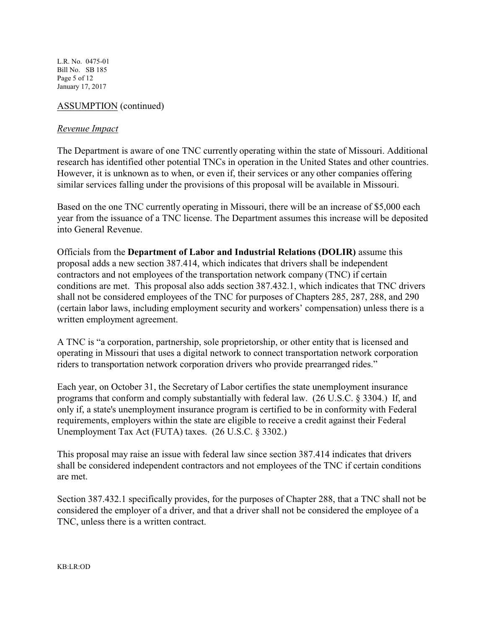L.R. No. 0475-01 Bill No. SB 185 Page 5 of 12 January 17, 2017

## ASSUMPTION (continued)

#### *Revenue Impact*

The Department is aware of one TNC currently operating within the state of Missouri. Additional research has identified other potential TNCs in operation in the United States and other countries. However, it is unknown as to when, or even if, their services or any other companies offering similar services falling under the provisions of this proposal will be available in Missouri.

Based on the one TNC currently operating in Missouri, there will be an increase of \$5,000 each year from the issuance of a TNC license. The Department assumes this increase will be deposited into General Revenue.

Officials from the **Department of Labor and Industrial Relations (DOLIR)** assume this proposal adds a new section 387.414, which indicates that drivers shall be independent contractors and not employees of the transportation network company (TNC) if certain conditions are met. This proposal also adds section 387.432.1, which indicates that TNC drivers shall not be considered employees of the TNC for purposes of Chapters 285, 287, 288, and 290 (certain labor laws, including employment security and workers' compensation) unless there is a written employment agreement.

A TNC is "a corporation, partnership, sole proprietorship, or other entity that is licensed and operating in Missouri that uses a digital network to connect transportation network corporation riders to transportation network corporation drivers who provide prearranged rides."

Each year, on October 31, the Secretary of Labor certifies the state unemployment insurance programs that conform and comply substantially with federal law. (26 U.S.C. § 3304.) If, and only if, a state's unemployment insurance program is certified to be in conformity with Federal requirements, employers within the state are eligible to receive a credit against their Federal Unemployment Tax Act (FUTA) taxes. (26 U.S.C. § 3302.)

This proposal may raise an issue with federal law since section 387.414 indicates that drivers shall be considered independent contractors and not employees of the TNC if certain conditions are met.

Section 387.432.1 specifically provides, for the purposes of Chapter 288, that a TNC shall not be considered the employer of a driver, and that a driver shall not be considered the employee of a TNC, unless there is a written contract.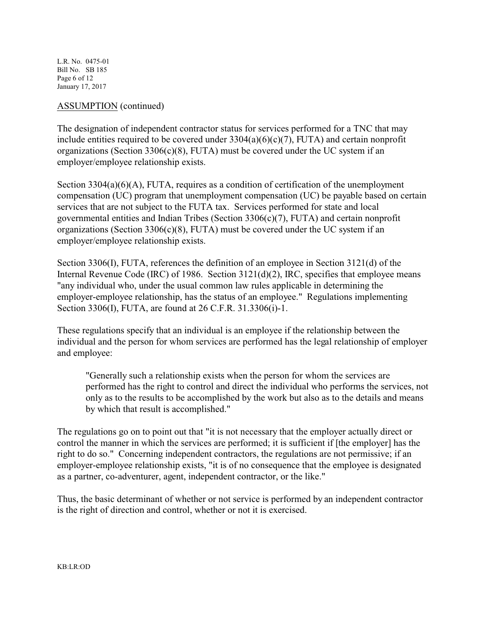L.R. No. 0475-01 Bill No. SB 185 Page 6 of 12 January 17, 2017

#### ASSUMPTION (continued)

The designation of independent contractor status for services performed for a TNC that may include entities required to be covered under  $3304(a)(6)(c)(7)$ , FUTA) and certain nonprofit organizations (Section 3306(c)(8), FUTA) must be covered under the UC system if an employer/employee relationship exists.

Section 3304(a)(6)(A), FUTA, requires as a condition of certification of the unemployment compensation (UC) program that unemployment compensation (UC) be payable based on certain services that are not subject to the FUTA tax. Services performed for state and local governmental entities and Indian Tribes (Section 3306(c)(7), FUTA) and certain nonprofit organizations (Section 3306(c)(8), FUTA) must be covered under the UC system if an employer/employee relationship exists.

Section 3306(I), FUTA, references the definition of an employee in Section 3121(d) of the Internal Revenue Code (IRC) of 1986. Section 3121(d)(2), IRC, specifies that employee means "any individual who, under the usual common law rules applicable in determining the employer-employee relationship, has the status of an employee." Regulations implementing Section 3306(I), FUTA, are found at 26 C.F.R. 31.3306(i)-1.

These regulations specify that an individual is an employee if the relationship between the individual and the person for whom services are performed has the legal relationship of employer and employee:

"Generally such a relationship exists when the person for whom the services are performed has the right to control and direct the individual who performs the services, not only as to the results to be accomplished by the work but also as to the details and means by which that result is accomplished."

The regulations go on to point out that "it is not necessary that the employer actually direct or control the manner in which the services are performed; it is sufficient if [the employer] has the right to do so." Concerning independent contractors, the regulations are not permissive; if an employer-employee relationship exists, "it is of no consequence that the employee is designated as a partner, co-adventurer, agent, independent contractor, or the like."

Thus, the basic determinant of whether or not service is performed by an independent contractor is the right of direction and control, whether or not it is exercised.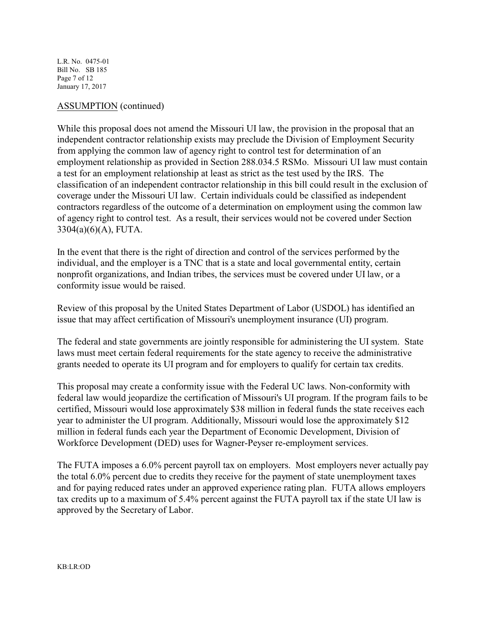L.R. No. 0475-01 Bill No. SB 185 Page 7 of 12 January 17, 2017

#### ASSUMPTION (continued)

While this proposal does not amend the Missouri UI law, the provision in the proposal that an independent contractor relationship exists may preclude the Division of Employment Security from applying the common law of agency right to control test for determination of an employment relationship as provided in Section 288.034.5 RSMo. Missouri UI law must contain a test for an employment relationship at least as strict as the test used by the IRS. The classification of an independent contractor relationship in this bill could result in the exclusion of coverage under the Missouri UI law. Certain individuals could be classified as independent contractors regardless of the outcome of a determination on employment using the common law of agency right to control test. As a result, their services would not be covered under Section 3304(a)(6)(A), FUTA.

In the event that there is the right of direction and control of the services performed by the individual, and the employer is a TNC that is a state and local governmental entity, certain nonprofit organizations, and Indian tribes, the services must be covered under UI law, or a conformity issue would be raised.

Review of this proposal by the United States Department of Labor (USDOL) has identified an issue that may affect certification of Missouri's unemployment insurance (UI) program.

The federal and state governments are jointly responsible for administering the UI system. State laws must meet certain federal requirements for the state agency to receive the administrative grants needed to operate its UI program and for employers to qualify for certain tax credits.

This proposal may create a conformity issue with the Federal UC laws. Non-conformity with federal law would jeopardize the certification of Missouri's UI program. If the program fails to be certified, Missouri would lose approximately \$38 million in federal funds the state receives each year to administer the UI program. Additionally, Missouri would lose the approximately \$12 million in federal funds each year the Department of Economic Development, Division of Workforce Development (DED) uses for Wagner-Peyser re-employment services.

The FUTA imposes a 6.0% percent payroll tax on employers. Most employers never actually pay the total 6.0% percent due to credits they receive for the payment of state unemployment taxes and for paying reduced rates under an approved experience rating plan. FUTA allows employers tax credits up to a maximum of 5.4% percent against the FUTA payroll tax if the state UI law is approved by the Secretary of Labor.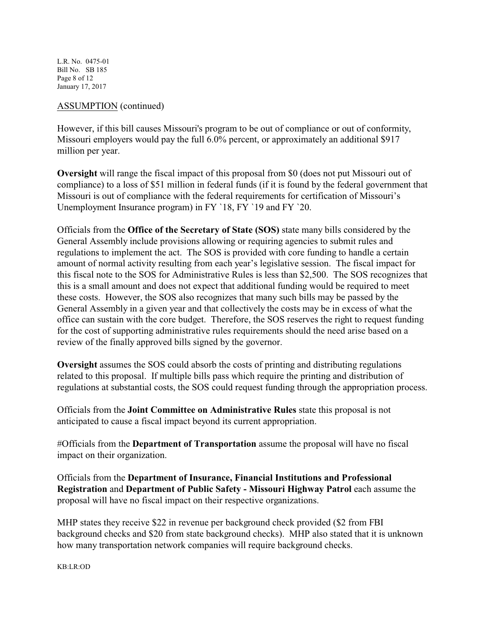L.R. No. 0475-01 Bill No. SB 185 Page 8 of 12 January 17, 2017

#### ASSUMPTION (continued)

However, if this bill causes Missouri's program to be out of compliance or out of conformity, Missouri employers would pay the full 6.0% percent, or approximately an additional \$917 million per year.

**Oversight** will range the fiscal impact of this proposal from \$0 (does not put Missouri out of compliance) to a loss of \$51 million in federal funds (if it is found by the federal government that Missouri is out of compliance with the federal requirements for certification of Missouri's Unemployment Insurance program) in FY `18, FY `19 and FY `20.

Officials from the **Office of the Secretary of State (SOS)** state many bills considered by the General Assembly include provisions allowing or requiring agencies to submit rules and regulations to implement the act. The SOS is provided with core funding to handle a certain amount of normal activity resulting from each year's legislative session. The fiscal impact for this fiscal note to the SOS for Administrative Rules is less than \$2,500. The SOS recognizes that this is a small amount and does not expect that additional funding would be required to meet these costs. However, the SOS also recognizes that many such bills may be passed by the General Assembly in a given year and that collectively the costs may be in excess of what the office can sustain with the core budget. Therefore, the SOS reserves the right to request funding for the cost of supporting administrative rules requirements should the need arise based on a review of the finally approved bills signed by the governor.

**Oversight** assumes the SOS could absorb the costs of printing and distributing regulations related to this proposal. If multiple bills pass which require the printing and distribution of regulations at substantial costs, the SOS could request funding through the appropriation process.

Officials from the **Joint Committee on Administrative Rules** state this proposal is not anticipated to cause a fiscal impact beyond its current appropriation.

#Officials from the **Department of Transportation** assume the proposal will have no fiscal impact on their organization.

Officials from the **Department of Insurance, Financial Institutions and Professional Registration** and **Department of Public Safety - Missouri Highway Patrol** each assume the proposal will have no fiscal impact on their respective organizations.

MHP states they receive \$22 in revenue per background check provided (\$2 from FBI background checks and \$20 from state background checks). MHP also stated that it is unknown how many transportation network companies will require background checks.

KB:LR:OD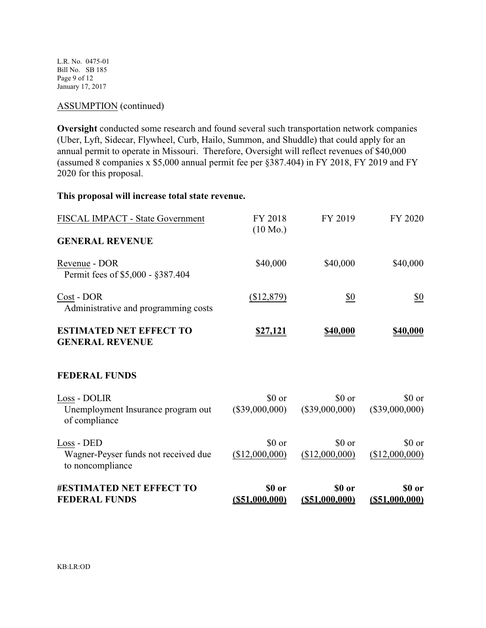L.R. No. 0475-01 Bill No. SB 185 Page 9 of 12 January 17, 2017

# ASSUMPTION (continued)

**Oversight** conducted some research and found several such transportation network companies (Uber, Lyft, Sidecar, Flywheel, Curb, Hailo, Summon, and Shuddle) that could apply for an annual permit to operate in Missouri. Therefore, Oversight will reflect revenues of \$40,000 (assumed 8 companies x \$5,000 annual permit fee per §387.404) in FY 2018, FY 2019 and FY 2020 for this proposal.

## **This proposal will increase total state revenue.**

| <b>#ESTIMATED NET EFFECT TO</b><br><b>FEDERAL FUNDS</b>                | \$0 or<br>$($ \$51,000,000) | \$0 or<br>$($ \$51,000,000) | \$0 or<br>$($ \$51,000,000) |
|------------------------------------------------------------------------|-----------------------------|-----------------------------|-----------------------------|
| Loss - DED<br>Wagner-Peyser funds not received due<br>to noncompliance | \$0 or<br>(\$12,000,000)    | \$0 or<br>(\$12,000,000)    | \$0 or<br>(\$12,000,000)    |
| Loss - DOLIR<br>Unemployment Insurance program out<br>of compliance    | \$0 or<br>(\$39,000,000)    | \$0 or<br>$(\$39,000,000)$  | \$0 or<br>$(\$39,000,000)$  |
| <b>FEDERAL FUNDS</b>                                                   |                             |                             |                             |
| <b>ESTIMATED NET EFFECT TO</b><br><b>GENERAL REVENUE</b>               | <u>\$27,121</u>             | \$40,000                    | <u>\$40,000</u>             |
| Cost - DOR<br>Administrative and programming costs                     | (\$12,879)                  | \$0                         | \$0                         |
| Revenue - DOR<br>Permit fees of \$5,000 - \$387.404                    | \$40,000                    | \$40,000                    | \$40,000                    |
| <b>GENERAL REVENUE</b>                                                 | $(10 \text{ Mo.})$          |                             |                             |
| FISCAL IMPACT - State Government                                       | FY 2018                     | FY 2019                     | FY 2020                     |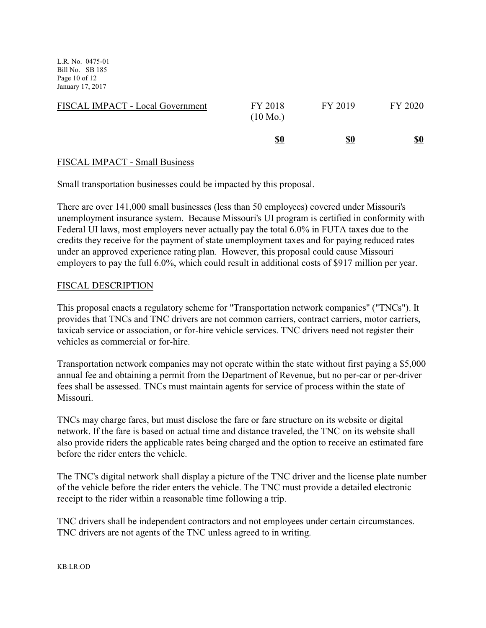L.R. No. 0475-01 Bill No. SB 185 Page 10 of 12 January 17, 2017

| FISCAL IMPACT - Local Government | FY 2018<br>$(10 \text{ Mo.})$ | FY 2019    | FY 2020    |
|----------------------------------|-------------------------------|------------|------------|
|                                  | <u>\$0</u>                    | <u>\$0</u> | <u>\$0</u> |

## FISCAL IMPACT - Small Business

Small transportation businesses could be impacted by this proposal.

There are over 141,000 small businesses (less than 50 employees) covered under Missouri's unemployment insurance system. Because Missouri's UI program is certified in conformity with Federal UI laws, most employers never actually pay the total 6.0% in FUTA taxes due to the credits they receive for the payment of state unemployment taxes and for paying reduced rates under an approved experience rating plan. However, this proposal could cause Missouri employers to pay the full 6.0%, which could result in additional costs of \$917 million per year.

#### FISCAL DESCRIPTION

This proposal enacts a regulatory scheme for "Transportation network companies" ("TNCs"). It provides that TNCs and TNC drivers are not common carriers, contract carriers, motor carriers, taxicab service or association, or for-hire vehicle services. TNC drivers need not register their vehicles as commercial or for-hire.

Transportation network companies may not operate within the state without first paying a \$5,000 annual fee and obtaining a permit from the Department of Revenue, but no per-car or per-driver fees shall be assessed. TNCs must maintain agents for service of process within the state of Missouri.

TNCs may charge fares, but must disclose the fare or fare structure on its website or digital network. If the fare is based on actual time and distance traveled, the TNC on its website shall also provide riders the applicable rates being charged and the option to receive an estimated fare before the rider enters the vehicle.

The TNC's digital network shall display a picture of the TNC driver and the license plate number of the vehicle before the rider enters the vehicle. The TNC must provide a detailed electronic receipt to the rider within a reasonable time following a trip.

TNC drivers shall be independent contractors and not employees under certain circumstances. TNC drivers are not agents of the TNC unless agreed to in writing.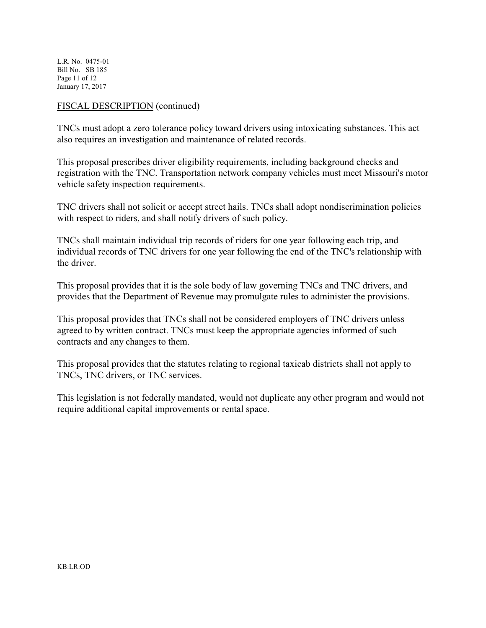L.R. No. 0475-01 Bill No. SB 185 Page 11 of 12 January 17, 2017

#### FISCAL DESCRIPTION (continued)

TNCs must adopt a zero tolerance policy toward drivers using intoxicating substances. This act also requires an investigation and maintenance of related records.

This proposal prescribes driver eligibility requirements, including background checks and registration with the TNC. Transportation network company vehicles must meet Missouri's motor vehicle safety inspection requirements.

TNC drivers shall not solicit or accept street hails. TNCs shall adopt nondiscrimination policies with respect to riders, and shall notify drivers of such policy.

TNCs shall maintain individual trip records of riders for one year following each trip, and individual records of TNC drivers for one year following the end of the TNC's relationship with the driver.

This proposal provides that it is the sole body of law governing TNCs and TNC drivers, and provides that the Department of Revenue may promulgate rules to administer the provisions.

This proposal provides that TNCs shall not be considered employers of TNC drivers unless agreed to by written contract. TNCs must keep the appropriate agencies informed of such contracts and any changes to them.

This proposal provides that the statutes relating to regional taxicab districts shall not apply to TNCs, TNC drivers, or TNC services.

This legislation is not federally mandated, would not duplicate any other program and would not require additional capital improvements or rental space.